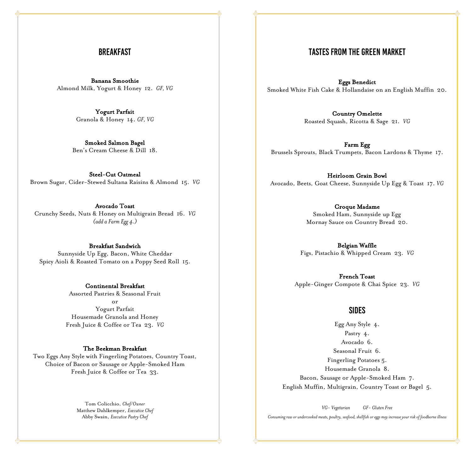# **BREAKFAST**

Banana Smoothie Almond Milk, Yogurt & Honey 12. *GF, VG*

> Yogurt Parfait Granola & Honey 14. *GF, VG*

Smoked Salmon Bagel Ben's Cream Cheese & Dill 18.

Steel-Cut Oatmeal Brown Sugar, Cider-Stewed Sultana Raisins & Almond 15. *VG*

Avocado Toast Crunchy Seeds, Nuts & Honey on Multigrain Bread 16. *VG (add a Farm Egg 4.)*

Breakfast Sandwich Sunnyside Up Egg, Bacon, White Cheddar Spicy Aioli & Roasted Tomato on a Poppy Seed Roll 15.

> Continental Breakfast Assorted Pastries & Seasonal Fruit or Yogurt Parfait Housemade Granola and Honey Fresh Juice & Coffee or Tea 23. *VG*

#### The Beekman Breakfast

Two Eggs Any Style with Fingerling Potatoes, Country Toast, Choice of Bacon or Sausage or Apple-Smoked Ham Fresh Juice & Coffee or Tea 33.

> Tom Colicchio, *Chef/Owner* Matthew Dahlkemper, *Executive Chef* Abby Swain, *Executive Pastry Chef*

# **TASTES FROM THE GREEN MARKET**

Eggs Benedict Smoked White Fish Cake & Hollandaise on an English Muffin 20.

> Country Omelette Roasted Squash, Ricotta & Sage 21. *VG*

Farm Egg Brussels Sprouts, Black Trumpets, Bacon Lardons & Thyme 17.

Heirloom Grain Bowl Avocado, Beets, Goat Cheese, Sunnyside Up Egg & Toast 17. *VG*

> Croque Madame Smoked Ham, Sunnyside up Egg Mornay Sauce on Country Bread 20.

Belgian Waffle Figs, Pistachio & Whipped Cream 23. *VG*

French Toast Apple-Ginger Compote & Chai Spice 23. *VG*

### **SIDES**

Egg Any Style 4. Pastry 4. Avocado 6. Seasonal Fruit 6. Fingerling Potatoes 5. Housemade Granola 8. Bacon, Sausage or Apple-Smoked Ham 7. English Muffin, Multigrain, Country Toast or Bagel 5.

*VG- Vegetarian GF- Gluten Free*

*Consuming raw or undercooked meats, poultry, seafood, shellfish or eggs may increase your risk of foodborne illness*